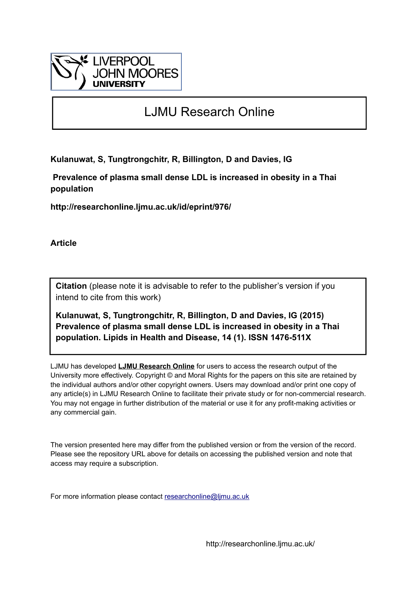

## LJMU Research Online

**Kulanuwat, S, Tungtrongchitr, R, Billington, D and Davies, IG**

 **Prevalence of plasma small dense LDL is increased in obesity in a Thai population**

**http://researchonline.ljmu.ac.uk/id/eprint/976/**

**Article**

**Citation** (please note it is advisable to refer to the publisher's version if you intend to cite from this work)

**Kulanuwat, S, Tungtrongchitr, R, Billington, D and Davies, IG (2015) Prevalence of plasma small dense LDL is increased in obesity in a Thai population. Lipids in Health and Disease, 14 (1). ISSN 1476-511X** 

LJMU has developed **[LJMU Research Online](http://researchonline.ljmu.ac.uk/)** for users to access the research output of the University more effectively. Copyright © and Moral Rights for the papers on this site are retained by the individual authors and/or other copyright owners. Users may download and/or print one copy of any article(s) in LJMU Research Online to facilitate their private study or for non-commercial research. You may not engage in further distribution of the material or use it for any profit-making activities or any commercial gain.

The version presented here may differ from the published version or from the version of the record. Please see the repository URL above for details on accessing the published version and note that access may require a subscription.

For more information please contact [researchonline@ljmu.ac.uk](mailto:researchonline@ljmu.ac.uk)

http://researchonline.ljmu.ac.uk/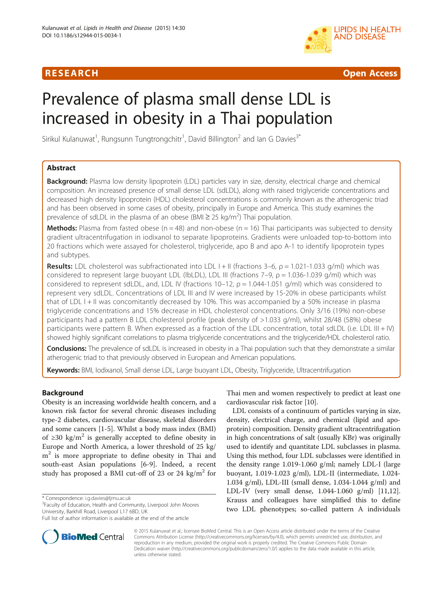## R E S EAR CH Open Access



# Prevalence of plasma small dense LDL is increased in obesity in a Thai population

Sirikul Kulanuwat<sup>1</sup>, Rungsunn Tungtrongchitr<sup>1</sup>, David Billington<sup>2</sup> and Ian G Davies<sup>3\*</sup>

### Abstract

Background: Plasma low density lipoprotein (LDL) particles vary in size, density, electrical charge and chemical composition. An increased presence of small dense LDL (sdLDL), along with raised triglyceride concentrations and decreased high density lipoprotein (HDL) cholesterol concentrations is commonly known as the atherogenic triad and has been observed in some cases of obesity, principally in Europe and America. This study examines the prevalence of sdLDL in the plasma of an obese (BMI  $\geq$  25 kg/m<sup>2</sup>) Thai population.

**Methods:** Plasma from fasted obese ( $n = 48$ ) and non-obese ( $n = 16$ ) Thai participants was subjected to density gradient ultracentrifugation in iodixanol to separate lipoproteins. Gradients were unloaded top-to-bottom into 20 fractions which were assayed for cholesterol, triglyceride, apo B and apo A-1 to identify lipoprotein types and subtypes.

Results: LDL cholesterol was subfractionated into LDL I + II (fractions 3–6,  $\rho = 1.021$ -1.033 g/ml) which was considered to represent large buoyant LDL (lbLDL), LDL III (fractions 7–9,  $\rho = 1.036$ -1.039 g/ml) which was considered to represent sdLDL, and, LDL IV (fractions 10–12,  $\rho = 1.044$ -1.051 g/ml) which was considered to represent very sdLDL. Concentrations of LDL III and IV were increased by 15-20% in obese participants whilst that of LDL I + II was concomitantly decreased by 10%. This was accompanied by a 50% increase in plasma triglyceride concentrations and 15% decrease in HDL cholesterol concentrations. Only 3/16 (19%) non-obese participants had a pattern B LDL cholesterol profile (peak density of >1.033 g/ml), whilst 28/48 (58%) obese participants were pattern B. When expressed as a fraction of the LDL concentration, total sdLDL (i.e. LDL III + IV) showed highly significant correlations to plasma triglyceride concentrations and the triglyceride/HDL cholesterol ratio.

Conclusions: The prevalence of sdLDL is increased in obesity in a Thai population such that they demonstrate a similar atherogenic triad to that previously observed in European and American populations.

Keywords: BMI, Iodixanol, Small dense LDL, Large buoyant LDL, Obesity, Triglyceride, Ultracentrifugation

#### Background

Obesity is an increasing worldwide health concern, and a known risk factor for several chronic diseases including type-2 diabetes, cardiovascular disease, skeletal disorders and some cancers [[1-5](#page-7-0)]. Whilst a body mass index (BMI) of ≥30 kg/m<sup>2</sup> is generally accepted to define obesity in Europe and North America, a lower threshold of 25 kg/  $m<sup>2</sup>$  is more appropriate to define obesity in Thai and south-east Asian populations [\[6](#page-7-0)-[9\]](#page-7-0). Indeed, a recent study has proposed a BMI cut-off of 23 or 24 kg/m<sup>2</sup> for

\* Correspondence: [i.g.davies@ljmu.ac.uk](mailto:i.g.davies@ljmu.ac.uk) <sup>3</sup>

<sup>3</sup>Faculty of Education, Health and Community, Liverpool John Moores University, Barkhill Road, Liverpool L17 6BD, UK

Full list of author information is available at the end of the article



Thai men and women respectively to predict at least one cardiovascular risk factor [[10](#page-7-0)].

LDL consists of a continuum of particles varying in size, density, electrical charge, and chemical (lipid and apoprotein) composition. Density gradient ultracentrifugation in high concentrations of salt (usually KBr) was originally used to identify and quantitate LDL subclasses in plasma. Using this method, four LDL subclasses were identified in the density range 1.019-1.060 g/ml; namely LDL-I (large buoyant, 1.019-1.023 g/ml), LDL-II (intermediate, 1.024- 1.034 g/ml), LDL-III (small dense, 1.034-1.044 g/ml) and LDL-IV (very small dense, 1.044-1.060 g/ml) [[11](#page-7-0),[12](#page-7-0)]. Krauss and colleagues have simplified this to define two LDL phenotypes; so-called pattern A individuals

© 2015 Kulanuwat et al.; licensee BioMed Central. This is an Open Access article distributed under the terms of the Creative Commons Attribution License [\(http://creativecommons.org/licenses/by/4.0\)](http://creativecommons.org/licenses/by/4.0), which permits unrestricted use, distribution, and reproduction in any medium, provided the original work is properly credited. The Creative Commons Public Domain Dedication waiver [\(http://creativecommons.org/publicdomain/zero/1.0/](http://creativecommons.org/publicdomain/zero/1.0/)) applies to the data made available in this article, unless otherwise stated.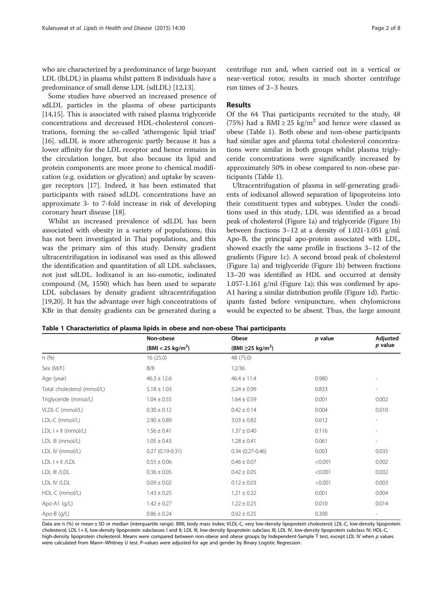<span id="page-2-0"></span>who are characterized by a predominance of large buoyant LDL (lbLDL) in plasma whilst pattern B individuals have a predominance of small dense LDL (sdLDL) [[12,13](#page-7-0)].

Some studies have observed an increased presence of sdLDL particles in the plasma of obese participants [[14,15\]](#page-7-0). This is associated with raised plasma triglyceride concentrations and decreased HDL-cholesterol concentrations, forming the so-called 'atherogenic lipid triad' [[16\]](#page-7-0). sdLDL is more atherogenic partly because it has a lower affinity for the LDL receptor and hence remains in the circulation longer, but also because its lipid and protein components are more prone to chemical modification (e.g. oxidation or glycation) and uptake by scavenger receptors [[17\]](#page-7-0). Indeed, it has been estimated that participants with raised sdLDL concentrations have an approximate 3- to 7-fold increase in risk of developing coronary heart disease [\[18](#page-7-0)].

Whilst an increased prevalence of sdLDL has been associated with obesity in a variety of populations, this has not been investigated in Thai populations, and this was the primary aim of this study. Density gradient ultracentrifugation in iodixanol was used as this allowed the identification and quantitation of all LDL subclasses, not just sdLDL. Iodixanol is an iso-osmotic, iodinated compound ( $M_r$  1550) which has been used to separate LDL subclasses by density gradient ultracentrifugation [[19,20\]](#page-7-0). It has the advantage over high concentrations of KBr in that density gradients can be generated during a centrifuge run and, when carried out in a vertical or near-vertical rotor, results in much shorter centrifuge run times of 2–3 hours.

#### Results

Of the 64 Thai participants recruited to the study, 48 (75%) had a BMI  $\geq$  25 kg/m<sup>2</sup> and hence were classed as obese (Table 1). Both obese and non-obese participants had similar ages and plasma total cholesterol concentrations were similar in both groups whilst plasma triglyceride concentrations were significantly increased by approximately 50% in obese compared to non-obese participants (Table 1).

Ultracentrifugation of plasma in self-generating gradients of iodixanol allowed separation of lipoproteins into their constituent types and subtypes. Under the conditions used in this study, LDL was identified as a broad peak of cholesterol (Figure [1](#page-3-0)a) and triglyceride (Figure [1](#page-3-0)b) between fractions 3–12 at a density of 1.021-1.051 g/ml. Apo-B, the principal apo-protein associated with LDL, showed exactly the same profile in fractions 3–12 of the gradients (Figure [1](#page-3-0)c). A second broad peak of cholesterol (Figure [1](#page-3-0)a) and triglyceride (Figure [1b](#page-3-0)) between fractions 13–20 was identified as HDL and occurred at density 1.057-1.161 g/ml (Figure [1](#page-3-0)a); this was confirmed by apo-A1 having a similar distribution profile (Figure [1d](#page-3-0)). Participants fasted before venipuncture, when chylomicrons would be expected to be absent. Thus, the large amount

|                            | Non-obese                     | Obese                              | p value | Adjusted<br>p value      |
|----------------------------|-------------------------------|------------------------------------|---------|--------------------------|
|                            | (BMI < 25 kg/m <sup>2</sup> ) | (BMI $\geq$ 25 kg/m <sup>2</sup> ) |         |                          |
| n(%)                       | 16(25.0)                      | 48 (75.0)                          |         |                          |
| Sex (M/F)                  | 8/8                           | 12/36                              |         |                          |
| Age (year)                 | $46.3 \pm 12.6$               | $46.4 \pm 11.4$                    | 0.980   |                          |
| Total cholesterol (mmol/L) | $5.18 \pm 1.03$               | $5.24 \pm 0.99$                    | 0.833   | $\overline{\phantom{a}}$ |
| Triglyceride (mmol/L)      | $1.04 \pm 0.55$               | $1.64 \pm 0.59$                    | 0.001   | 0.002                    |
| VLDL-C (mmol/L)            | $0.30 \pm 0.12$               | $0.42 \pm 0.14$                    | 0.004   | 0.010                    |
| LDL-C (mmol/L)             | $2.90 \pm 0.89$               | $3.03 \pm 0.82$                    | 0.612   | $\overline{\phantom{a}}$ |
| $LDL$ $l + ll$ (mmol/L)    | $1.56 \pm 0.41$               | $1.37 \pm 0.40$                    | 0.116   |                          |
| LDL III (mmol/L)           | $1.05 \pm 0.43$               | $1.28 \pm 0.41$                    | 0.061   | $\overline{\phantom{a}}$ |
| LDL IV (mmol/L)            | $0.27(0.19-0.31)$             | $0.34(0.27 - 0.46)$                | 0.003   | 0.035                    |
| $LDL$ $I + II$ / $LDL$     | $0.55 \pm 0.06$               | $0.46 \pm 0.07$                    | < 0.001 | 0.002                    |
| LDL III /LDL               | $0.36 \pm 0.05$               | $0.42 \pm 0.05$                    | < 0.001 | 0.002                    |
| LDL IV /LDL                | $0.09 \pm 0.02$               | $0.12 \pm 0.03$                    | < 0.001 | 0.003                    |
| HDL-C (mmol/L)             | $1.43 \pm 0.25$               | $1.21 \pm 0.22$                    | 0.001   | 0.004                    |
| Apo-A1 (g/L)               | $1.42 \pm 0.27$               | $1.22 \pm 0.25$                    | 0.010   | 0.014                    |
| Apo-B (g/L)                | $0.86 \pm 0.24$               | $0.92 \pm 0.25$                    | 0.390   |                          |

Table 1 Characteristics of plasma lipids in obese and non-obese Thai participants

Data are n (%) or mean ± SD or median (interquartile range). BMI, body mass index; VLDL-C, very low-density lipoprotein cholesterol; LDL-C, low-density lipoprotein cholesterol; LDL I + II, low-density lipoprotein subclasses I and II; LDL III, low-density lipoprotein subclass III; LDL IV, low-density lipoprotein subclass IV; HDL-C, high-density lipoprotein cholesterol. Means were compared between non-obese and obese groups by Independent-Sample T test, except LDL IV when p values were calculated from Mann–Whitney U test. P-values were adjusted for age and gender by Binary Logistic Regression.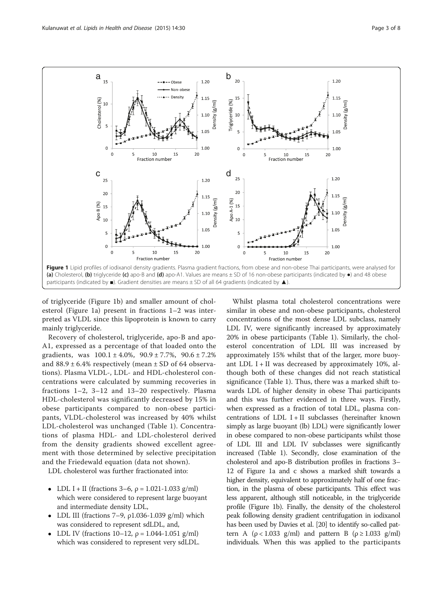<span id="page-3-0"></span>

of triglyceride (Figure 1b) and smaller amount of cholesterol (Figure 1a) present in fractions 1–2 was interpreted as VLDL since this lipoprotein is known to carry mainly triglyceride.

Recovery of cholesterol, triglyceride, apo-B and apo-A1, expressed as a percentage of that loaded onto the gradients, was  $100.1 \pm 4.0\%$ ,  $90.9 \pm 7.7\%$ ,  $90.6 \pm 7.2\%$ and  $88.9 \pm 6.4\%$  respectively (mean  $\pm$  SD of 64 observations). Plasma VLDL-, LDL- and HDL-cholesterol concentrations were calculated by summing recoveries in fractions 1–2, 3–12 and 13–20 respectively. Plasma HDL-cholesterol was significantly decreased by 15% in obese participants compared to non-obese participants, VLDL-cholesterol was increased by 40% whilst LDL-cholesterol was unchanged (Table [1](#page-2-0)). Concentrations of plasma HDL- and LDL-cholesterol derived from the density gradients showed excellent agreement with those determined by selective precipitation and the Friedewald equation (data not shown).

LDL cholesterol was further fractionated into:

- LDL I + II (fractions  $3-6$ ,  $\rho = 1.021-1.033$  g/ml) which were considered to represent large buoyant and intermediate density LDL,
- LDL III (fractions 7–9,  $\rho$ 1.036-1.039 g/ml) which was considered to represent sdLDL, and,
- LDL IV (fractions 10–12,  $ρ = 1.044 1.051$  g/ml) which was considered to represent very sdLDL.

Whilst plasma total cholesterol concentrations were similar in obese and non-obese participants, cholesterol concentrations of the most dense LDL subclass, namely LDL IV, were significantly increased by approximately 20% in obese participants (Table [1\)](#page-2-0). Similarly, the cholesterol concentration of LDL III was increased by approximately 15% whilst that of the larger, more buoyant LDL I + II was decreased by approximately  $10\%$ , although both of these changes did not reach statistical significance (Table [1](#page-2-0)). Thus, there was a marked shift towards LDL of higher density in obese Thai participants and this was further evidenced in three ways. Firstly, when expressed as a fraction of total LDL, plasma concentrations of  $LDL I + II$  subclasses (hereinafter known simply as large buoyant (lb) LDL) were significantly lower in obese compared to non-obese participants whilst those of LDL III and LDL IV subclasses were significantly increased (Table [1](#page-2-0)). Secondly, close examination of the cholesterol and apo-B distribution profiles in fractions 3– 12 of Figure 1a and c shows a marked shift towards a higher density, equivalent to approximately half of one fraction, in the plasma of obese participants. This effect was less apparent, although still noticeable, in the triglyceride profile (Figure 1b). Finally, the density of the cholesterol peak following density gradient centrifugation in iodixanol has been used by Davies et al. [[20](#page-7-0)] to identify so-called pattern A ( $\rho$  < 1.033 g/ml) and pattern B ( $\rho \ge 1.033$  g/ml) individuals. When this was applied to the participants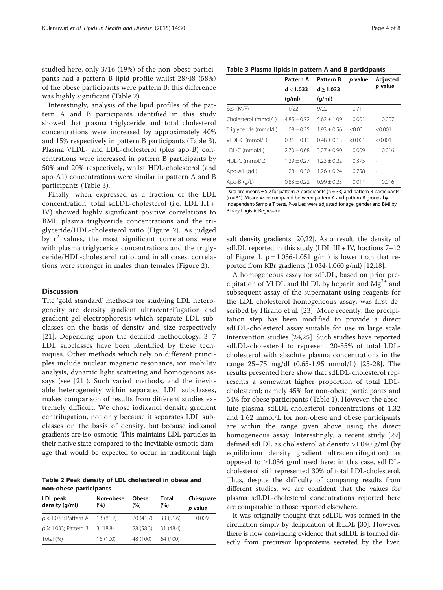<span id="page-4-0"></span>studied here, only 3/16 (19%) of the non-obese participants had a pattern B lipid profile whilst 28/48 (58%) of the obese participants were pattern B; this difference was highly significant (Table 2).

Interestingly, analysis of the lipid profiles of the pattern A and B participants identified in this study showed that plasma triglyceride and total cholesterol concentrations were increased by approximately 40% and 15% respectively in pattern B participants (Table 3). Plasma VLDL- and LDL-cholesterol (plus apo-B) concentrations were increased in pattern B participants by 50% and 20% respectively, whilst HDL-cholesterol (and apo-A1) concentrations were similar in pattern A and B participants (Table 3).

Finally, when expressed as a fraction of the LDL concentration, total sdLDL-cholesterol (i.e. LDL III + IV) showed highly significant positive correlations to BMI, plasma triglyceride concentrations and the triglyceride/HDL-cholesterol ratio (Figure [2](#page-5-0)). As judged by  $r^2$  values, the most significant correlations were with plasma triglyceride concentrations and the triglyceride/HDL-cholesterol ratio, and in all cases, correlations were stronger in males than females (Figure [2\)](#page-5-0).

#### **Discussion**

The 'gold standard' methods for studying LDL heterogeneity are density gradient ultracentrifugation and gradient gel electrophoresis which separate LDL subclasses on the basis of density and size respectively [[21](#page-7-0)]. Depending upon the detailed methodology, 3–7 LDL subclasses have been identified by these techniques. Other methods which rely on different principles include nuclear magnetic resonance, ion mobility analysis, dynamic light scattering and homogenous assays (see [[21\]](#page-7-0)). Such varied methods, and the inevitable heterogeneity within separated LDL subclasses, makes comparison of results from different studies extremely difficult. We chose iodixanol density gradient centrifugation, not only because it separates LDL subclasses on the basis of density, but because iodixanol gradients are iso-osmotic. This maintains LDL particles in their native state compared to the inevitable osmotic damage that would be expected to occur in traditional high

Table 2 Peak density of LDL cholesterol in obese and non-obese participants

| LDL peak                      | Non-obese<br>(% ) | Obese<br>(% ) | Total<br>(%)        | Chi-square |
|-------------------------------|-------------------|---------------|---------------------|------------|
| density (g/ml)                |                   |               |                     | p value    |
| $\rho$ < 1.033; Pattern A     | 13 (81.2)         |               | 20 (41.7) 33 (51.6) | 0.009      |
| $\rho \geq 1.033$ ; Pattern B | 3(18.8)           | 28 (58.3)     | 31 (48.4)           |            |
| Total (%)                     | 16 (100)          | 48 (100)      | 64 (100)            |            |

Table 3 Plasma lipids in pattern A and B participants

|                       | Pattern A       | <b>Pattern B</b> | <i>p</i> value | Adjusted<br>p value |
|-----------------------|-----------------|------------------|----------------|---------------------|
|                       | d < 1.033       | d > 1.033        |                |                     |
|                       | (q/ml)          | (q/ml)           |                |                     |
| Sex (M/F)             | 11/22           | 9/22             | 0.711          |                     |
| Cholesterol (mmol/L)  | $4.85 + 0.72$   | $5.62 + 1.09$    | 0.001          | 0.007               |
| Triglyceride (mmol/L) | $1.08 + 0.35$   | $1.93 + 0.56$    | < 0.001        | < 0.001             |
| VLDL-C (mmol/L)       | $0.31 + 0.11$   | $0.48 + 0.13$    | < 0.001        | < 0.001             |
| LDL-C (mmol/L)        | $2.73 + 0.68$   | $3.27 + 0.90$    | 0.009          | 0.016               |
| HDL-C (mmol/L)        | $1.29 \pm 0.27$ | $1.23 + 0.22$    | 0.375          |                     |
| Apo-A1 $(q/L)$        | $1.28 + 0.30$   | $1.26 + 0.24$    | 0.758          | $\overline{a}$      |
| Apo-B $(g/L)$         | $0.83 \pm 0.22$ | $0.99 + 0.25$    | 0.011          | 0.016               |

Data are means  $\pm$  SD for pattern A participants (n = 33) and pattern B participants (n = 31). Means were compared between pattern A and pattern B groups by independent-Sample T tests. P-values were adjusted for age, gender and BMI by Binary Logistic Regression.

salt density gradients [[20,22](#page-7-0)]. As a result, the density of sdLDL reported in this study (LDL III + IV, fractions  $7-12$ of Figure [1](#page-3-0),  $\rho = 1.036 - 1.051$  g/ml) is lower than that reported from KBr gradients (1.034-1.060 g/ml) [\[12,18\]](#page-7-0).

A homogeneous assay for sdLDL, based on prior precipitation of VLDL and lbLDL by heparin and  $Mg^{2+}$  and subsequent assay of the supernatant using reagents for the LDL-cholesterol homogeneous assay, was first described by Hirano et al. [[23\]](#page-7-0). More recently, the precipitation step has been modified to provide a direct sdLDL-cholesterol assay suitable for use in large scale intervention studies [\[24,25\]](#page-7-0). Such studies have reported sdLDL-cholesterol to represent 20-35% of total LDLcholesterol with absolute plasma concentrations in the range 25–75 mg/dl (0.65-1.95 mmol/L) [[25-](#page-7-0)[28](#page-8-0)]. The results presented here show that sdLDL-cholesterol represents a somewhat higher proportion of total LDLcholesterol; namely 45% for non-obese participants and 54% for obese participants (Table [1\)](#page-2-0). However, the absolute plasma sdLDL-cholesterol concentrations of 1.32 and 1.62 mmol/L for non-obese and obese participants are within the range given above using the direct homogeneous assay. Interestingly, a recent study [\[29](#page-8-0)] defined sdLDL as cholesterol at density >1.040 g/ml (by equilibrium density gradient ultracentrifugation) as opposed to ≥1.036 g/ml used here; in this case, sdLDLcholesterol still represented 30% of total LDL-cholesterol. Thus, despite the difficulty of comparing results from different studies, we are confident that the values for plasma sdLDL-cholesterol concentrations reported here are comparable to those reported elsewhere.

It was originally thought that sdLDL was formed in the circulation simply by delipidation of lbLDL [\[30](#page-8-0)]. However, there is now convincing evidence that sdLDL is formed directly from precursor lipoproteins secreted by the liver.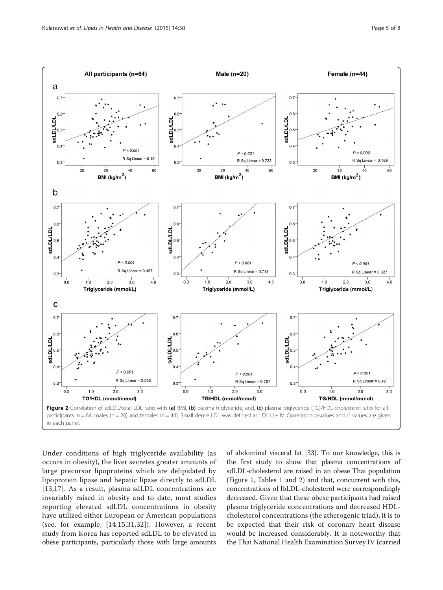<span id="page-5-0"></span>

Under conditions of high triglyceride availability (as occurs in obesity), the liver secretes greater amounts of large precursor lipoproteins which are delipidated by lipoprotein lipase and hepatic lipase directly to sdLDL [[13](#page-7-0),[17\]](#page-7-0). As a result, plasma sdLDL concentrations are invariably raised in obesity and to date, most studies reporting elevated sdLDL concentrations in obesity have utilized either European or American populations (see, for example, [[14,15,](#page-7-0)[31,32\]](#page-8-0)). However, a recent study from Korea has reported sdLDL to be elevated in obese participants, particularly those with large amounts

of abdominal visceral fat [\[33\]](#page-8-0). To our knowledge, this is the first study to show that plasma concentrations of sdLDL-cholesterol are raised in an obese Thai population (Figure [1](#page-3-0), Tables [1](#page-2-0) and [2\)](#page-4-0) and that, concurrent with this, concentrations of lbLDL-cholesterol were correspondingly decreased. Given that these obese participants had raised plasma triglyceride concentrations and decreased HDLcholesterol concentrations (the atherogenic triad), it is to be expected that their risk of coronary heart disease would be increased considerably. It is noteworthy that the Thai National Health Examination Survey IV (carried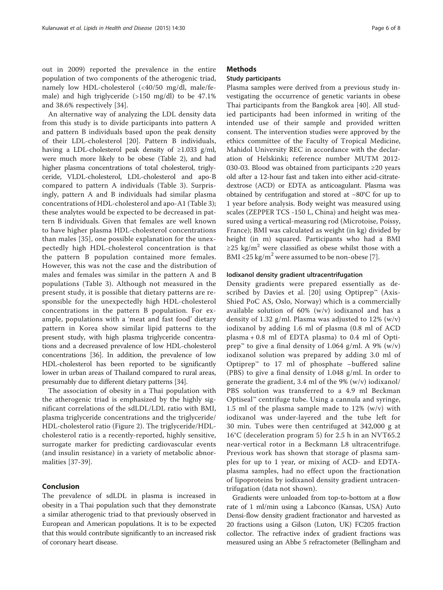out in 2009) reported the prevalence in the entire population of two components of the atherogenic triad, namely low HDL-cholesterol (<40/50 mg/dl, male/female) and high triglyceride (>150 mg/dl) to be 47.1% and 38.6% respectively [[34\]](#page-8-0).

An alternative way of analyzing the LDL density data from this study is to divide participants into pattern A and pattern B individuals based upon the peak density of their LDL-cholesterol [\[20](#page-7-0)]. Pattern B individuals, having a LDL-cholesterol peak density of ≥1.033 g/ml, were much more likely to be obese (Table [2\)](#page-4-0), and had higher plasma concentrations of total cholesterol, triglyceride, VLDL-cholesterol, LDL-cholesterol and apo-B compared to pattern A individuals (Table [3\)](#page-4-0). Surprisingly, pattern A and B individuals had similar plasma concentrations of HDL-cholesterol and apo-A1 (Table [3](#page-4-0)); these analytes would be expected to be decreased in pattern B individuals. Given that females are well known to have higher plasma HDL-cholesterol concentrations than males [[35](#page-8-0)], one possible explanation for the unexpectedly high HDL-cholesterol concentration is that the pattern B population contained more females. However, this was not the case and the distribution of males and females was similar in the pattern A and B populations (Table [3\)](#page-4-0). Although not measured in the present study, it is possible that dietary patterns are responsible for the unexpectedly high HDL-cholesterol concentrations in the pattern B population. For example, populations with a 'meat and fast food' dietary pattern in Korea show similar lipid patterns to the present study, with high plasma triglyceride concentrations and a decreased prevalence of low HDL-cholesterol concentrations [\[36\]](#page-8-0). In addition, the prevalence of low HDL-cholesterol has been reported to be significantly lower in urban areas of Thailand compared to rural areas, presumably due to different dietary patterns [[34](#page-8-0)].

The association of obesity in a Thai population with the atherogenic triad is emphasized by the highly significant correlations of the sdLDL/LDL ratio with BMI, plasma triglyceride concentrations and the triglyceride/ HDL-cholesterol ratio (Figure [2\)](#page-5-0). The triglyceride/HDLcholesterol ratio is a recently-reported, highly sensitive, surrogate marker for predicting cardiovascular events (and insulin resistance) in a variety of metabolic abnormalities [[37](#page-8-0)-[39\]](#page-8-0).

#### Conclusion

The prevalence of sdLDL in plasma is increased in obesity in a Thai population such that they demonstrate a similar atherogenic triad to that previously observed in European and American populations. It is to be expected that this would contribute significantly to an increased risk of coronary heart disease.

#### **Methods**

#### Study participants

Plasma samples were derived from a previous study investigating the occurrence of genetic variants in obese Thai participants from the Bangkok area [[40\]](#page-8-0). All studied participants had been informed in writing of the intended use of their sample and provided written consent. The intervention studies were approved by the ethics committee of the Faculty of Tropical Medicine, Mahidol University REC in accordance with the declaration of Helskinki; reference number MUTM 2012- 030-03. Blood was obtained from participants ≥20 years old after a 12-hour fast and taken into either acid-citratedextrose (ACD) or EDTA as anticoagulant. Plasma was obtained by centrifugation and stored at −80°C for up to 1 year before analysis. Body weight was measured using scales (ZEPPER TCS -150 L, China) and height was measured using a vertical-measuring rod (Microtoise, Poissy, France); BMI was calculated as weight (in kg) divided by height (in m) squared. Participants who had a BMI ≥25 kg/m<sup>2</sup> were classified as obese whilst those with a BMI <25 kg/m<sup>2</sup> were assumed to be non-obese [\[7](#page-7-0)].

#### Iodixanol density gradient ultracentrifugation

Density gradients were prepared essentially as de-scribed by Davies et al. [\[20](#page-7-0)] using Optiprep™ (Axis-Shied PoC AS, Oslo, Norway) which is a commercially available solution of 60% (w/v) iodixanol and has a density of 1.32 g/ml. Plasma was adjusted to  $12\%$  (w/v) iodixanol by adding 1.6 ml of plasma (0.8 ml of ACD plasma + 0.8 ml of EDTA plasma) to 0.4 ml of Optiprep™ to give a final density of 1.064 g/ml. A 9% (w/v) iodixanol solution was prepared by adding 3.0 ml of Optiprep<sup>™</sup> to 17 ml of phosphate –buffered saline (PBS) to give a final density of 1.048 g/ml. In order to generate the gradient, 3.4 ml of the 9% (w/v) iodixanol/ PBS solution was transferred to a 4.9 ml Beckman Optiseal™ centrifuge tube. Using a cannula and syringe, 1.5 ml of the plasma sample made to 12% (w/v) with iodixanol was under-layered and the tube left for 30 min. Tubes were then centrifuged at 342,000 g at 16°C (deceleration program 5) for 2.5 h in an NVT65.2 near-vertical rotor in a Beckmann L8 ultracentrifuge. Previous work has shown that storage of plasma samples for up to 1 year, or mixing of ACD- and EDTAplasma samples, had no effect upon the fractionation of lipoproteins by iodixanol density gradient untracentrifugation (data not shown).

Gradients were unloaded from top-to-bottom at a flow rate of 1 ml/min using a Labconco (Kansas, USA) Auto Densi-flow density gradient fractionator and harvested as 20 fractions using a Gilson (Luton, UK) FC205 fraction collector. The refractive index of gradient fractions was measured using an Abbe 5 refractometer (Bellingham and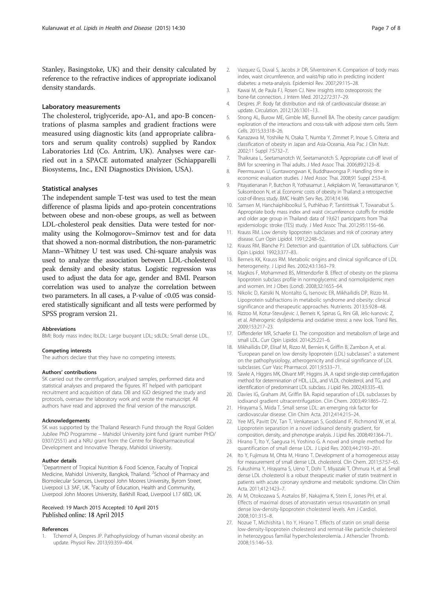<span id="page-7-0"></span>Stanley, Basingstoke, UK) and their density calculated by reference to the refractive indices of appropriate iodixanol density standards.

#### Laboratory measurements

The cholesterol, triglyceride, apo-A1, and apo-B concentrations of plasma samples and gradient fractions were measured using diagnostic kits (and appropriate calibrators and serum quality controls) supplied by Randox Laboratories Ltd (Co. Antrim, UK). Analyses were carried out in a SPACE automated analyzer (Schiapparelli Biosystems, Inc., ENI Diagnostics Division, USA).

#### Statistical analyses

The independent sample T-test was used to test the mean difference of plasma lipids and apo-protein concentrations between obese and non-obese groups, as well as between LDL-cholesterol peak densities. Data were tested for normality using the Kolmogorov–Smirnov test and for data that showed a non-normal distribution, the non-parametric Mann–Whitney U test was used. Chi-square analysis was used to analyze the association between LDL-cholesterol peak density and obesity status. Logistic regression was used to adjust the data for age, gender and BMI. Pearson correlation was used to analyze the correlation between two parameters. In all cases, a P-value of <0.05 was considered statistically significant and all tests were performed by SPSS program version 21.

#### Abbreviations

BMI: Body mass index; lbLDL: Large buoyant LDL; sdLDL: Small dense LDL.

#### Competing interests

The authors declare that they have no competing interests.

#### Authors' contributions

SK carried out the centrifugation, analysed samples, performed data and statistical analyses and prepared the figures. RT helped with participant recruitment and acquisition of data. DB and IGD designed the study and protocols, oversaw the laboratory work and wrote the manuscript. All authors have read and approved the final version of the manuscript.

#### Acknowledgements

SK was supported by the Thailand Research Fund through the Royal Golden Jubilee PhD Programme – Mahidol University joint fund (grant number PHD/ 0307/2551) and a NRU grant from the Centre for Biopharmaceutical Development and Innovative Therapy, Mahidol University.

#### Author details

<sup>1</sup>Department of Tropical Nutrition & Food Science, Faculty of Tropical Medicine, Mahidol University, Bangkok, Thailand. <sup>2</sup>School of Pharmacy and Biomolecular Sciences, Liverpool John Moores University, Byrom Street, Liverpool L3 3AF, UK. <sup>3</sup>Faculty of Education, Health and Community, Liverpool John Moores University, Barkhill Road, Liverpool L17 6BD, UK.

#### Received: 19 March 2015 Accepted: 10 April 2015 Published online: 18 April 2015

#### References

1. Tchernof A, Despres JP. Pathophysiology of human visceral obesity: an update. Physiol Rev. 2013;93:359–404.

- diabetes: a meta-analysis. Epidemiol Rev. 2007;29:115–28. 3. Kawai M, de Paula FJ, Rosen CJ. New insights into osteoporosis: the bone-fat connection. J Intern Med. 2012;272:317–29.
- 4. Despres JP. Body fat distribution and risk of cardiovascular disease: an update. Circulation. 2012;126:1301–13.
- 5. Strong AL, Burow ME, Gimble ME, Bunnell BA. The obesity cancer paradigm: exploration of the interactions and cross-talk with adipose stem cells. Stem Cells. 2015;33:318–26.
- 6. Kanazawa M, Yoshiike N, Osaka T, Numba Y, Zimmet P, Inoue S. Criteria and classification of obesity in Japan and Asia-Oceania. Asia Pac J Clin Nutr. 2002;11 Suppl 7:S732–7.
- 7. Thaikruea L, Seetamanotch W, Seetamanotch S. Appropriate cut-off level of BMI for screening in Thai adults. J Med Assoc Thai. 2006;89:2123–8.
- 8. Peermsuwan U, Guntawongwan K, Buddhawongsa P. Handling time in economic evaluation studies. J Med Assoc Thai. 2008;91 Suppl 2:53–8.
- 9. Pitayatienanan P, Butchon R, Yothasamut J, Aekplakorn W, Teerawattananon Y, Suksomboon N, et al. Economic costs of obesity in Thailand: a retrospective cost-of-illness study. BMC Health Serv Res. 2014;14:146.
- 10. Samsen M, Hanchaiphiboolkul S, Puthkhao P, Tantirittisak T, Towanabut S. Appropriate body mass index and waist circumference cutoffs for middle and older age group in Thailand: data of 19,621 participants from Thai epidemiologic stroke (TES) study. J Med Assoc Thai. 2012;95:1156–66.
- 11. Krauss RM. Low density lipoprotein subclasses and risk of coronary artery disease. Curr Opin Lipidol. 1991;2:248–52.
- 12. Krauss RM, Blanche PJ. Detection and quantitation of LDL subfractions. Curr Opin Lipidol. 1992;3:377–83.
- 13. Berneis KK, Krauss RM. Metabolic origins and clinical significance of LDL heterogeneity. J Lipid Res. 2002;43:1363–79.
- 14. Magkos F, Mohammed BS, Mittendorfer B. Effect of obesity on the plasma lipoprotein subclass profile in normoglycemic and normolipidemic men and women. Int J Obes (Lond). 2008;32:1655–64.
- 15. Nikolic D, Katsiki N, Montalto G, Isenovic ER, Mikhailidis DP, Rizzo M. Lipoprotein subfractions in metabolic syndrome and obesity: clinical significance and therapeutic approaches. Nutrients. 2013;5:928–48.
- 16. Rizzoo M, Kotur-Stevuljevic J, Berneis K, Spinas G, Rini GB, Jelic-Ivanovic Z, et al. Atherogenic dyslipidemia and oxidative stress: a new look. Transl Res. 2009;153:217–23.
- 17. Diffenderler MR, Schaefer EJ. The composition and metabolism of large and small LDL. Curr Opin Lipidol. 2014;25:221–6.
- 18. Mikhailidis DP, Elisaf M, Rizzo M, Bernies K, Griffin B, Zambon A, et al. "European panel on low density lipoprotein (LDL) subclasses": a statement on the pathophysiology, atherogenicity and clinical significance of LDL subclasses. Curr Vasc Pharmacol. 2011;9:533–71.
- 19. Sawle A, Higgins MK, Olivant MP, Higgins JA. A rapid single-step centrifugation method for determination of HDL, LDL, and VLDL cholesterol, and TG, and identification of predominant LDL subclass. J Lipid Res. 2002;43:335–43.
- 20. Davies IG, Graham JM, Griffin BA. Rapid separation of LDL subclasses by iodixanol gradient ultracentrifugation. Clin Chem. 2003;49:1865–72.
- 21. Hirayama S, Miida T. Small sense LDL: an emerging risk factor for cardiovascular disease. Clin Chim Acta. 2012;414:215–24.
- 22. Yee MS, Pavitt DV, Tan T, Venkatesan S, Godsland IF, Richmond W, et al. Lipoprotein separation in a novel iodixanol density gradient, for composition, density, and phenotype analysis. J Lipid Res. 2008;49:1364–71.
- 23. Hirano T, Ito Y, Saegusa H, Yoshino G. A novel and simple method for quantification of small dense LDL. J Lipid Res. 2003;44:2193–201.
- 24. Ito Y, Fujimura M, Ohta M, Hirano T. Development of a homogeneous assay for measurement of small dense LDL cholesterol. Clin Chem. 2011;57:57–65.
- 25. Fukushima Y, Hirayama S, Ueno T, Dohi T, Miyazaki T, Ohmura H, et al. Small dense LDL cholesterol is a robust therapeutic marker of statin treatment in patients with acute coronary syndrome and metabolic syndrome. Clin Chim Acta. 2011;412:1423–7.
- 26. Ai M, Otokozawa S, Asztalos BF, Nakajima K, Stein E, Jones PH, et al. Effects of maximal doses of atorvastatin versus rosuvastatin on small dense low-density-lipoprotein cholesterol levels. Am J Cardiol. 2008;101:315–8.
- 27. Nozue T, Michishita I, Ito Y, Hirano T. Effects of statin on small dense low-density-lipoprotein cholesterol and remnat-like particle cholesterol in heterozygous familial hypercholesterolemia. J Atherscler Thromb. 2008;15:146–53.